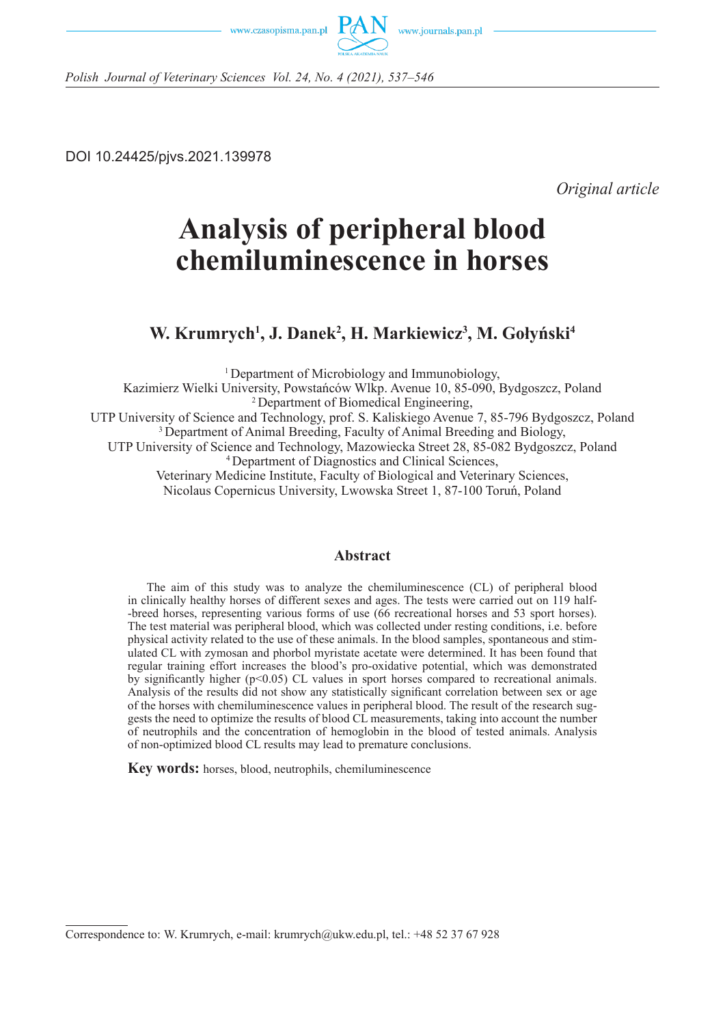



*Polish Journal of Veterinary Sciences Vol. 24, No. 4 (2021), 537–546*

DOI 10.24425/pjvs.2021.139978

*Original article*

# **Analysis of peripheral blood chemiluminescence in horses**

**W. Krumrych1 , J. Danek2 , H. Markiewicz3 , M. Gołyński<sup>4</sup>**

1 Department of Microbiology and Immunobiology, Kazimierz Wielki University, Powstańców Wlkp. Avenue 10, 85-090, Bydgoszcz, Poland <sup>2</sup>Department of Biomedical Engineering, UTP University of Science and Technology, prof. S. Kaliskiego Avenue 7, 85-796 Bydgoszcz, Poland <sup>3</sup> Department of Animal Breeding, Faculty of Animal Breeding and Biology, UTP University of Science and Technology, Mazowiecka Street 28, 85-082 Bydgoszcz, Poland 4 Department of Diagnostics and Clinical Sciences, Veterinary Medicine Institute, Faculty of Biological and Veterinary Sciences, Nicolaus Copernicus University, Lwowska Street 1, 87-100 Toruń, Poland

# **Abstract**

The aim of this study was to analyze the chemiluminescence (CL) of peripheral blood in clinically healthy horses of different sexes and ages. The tests were carried out on 119 half- -breed horses, representing various forms of use (66 recreational horses and 53 sport horses). The test material was peripheral blood, which was collected under resting conditions, i.e. before physical activity related to the use of these animals. In the blood samples, spontaneous and stimulated CL with zymosan and phorbol myristate acetate were determined. It has been found that regular training effort increases the blood's pro-oxidative potential, which was demonstrated by significantly higher ( $p<0.05$ ) CL values in sport horses compared to recreational animals. Analysis of the results did not show any statistically significant correlation between sex or age of the horses with chemiluminescence values in peripheral blood. The result of the research suggests the need to optimize the results of blood CL measurements, taking into account the number of neutrophils and the concentration of hemoglobin in the blood of tested animals. Analysis of non-optimized blood CL results may lead to premature conclusions.

**Key words:** horses, blood, neutrophils, chemiluminescence

Correspondence to: W. Krumrych, e-mail: krumrych@ukw.edu.pl, tel.: +48 52 37 67 928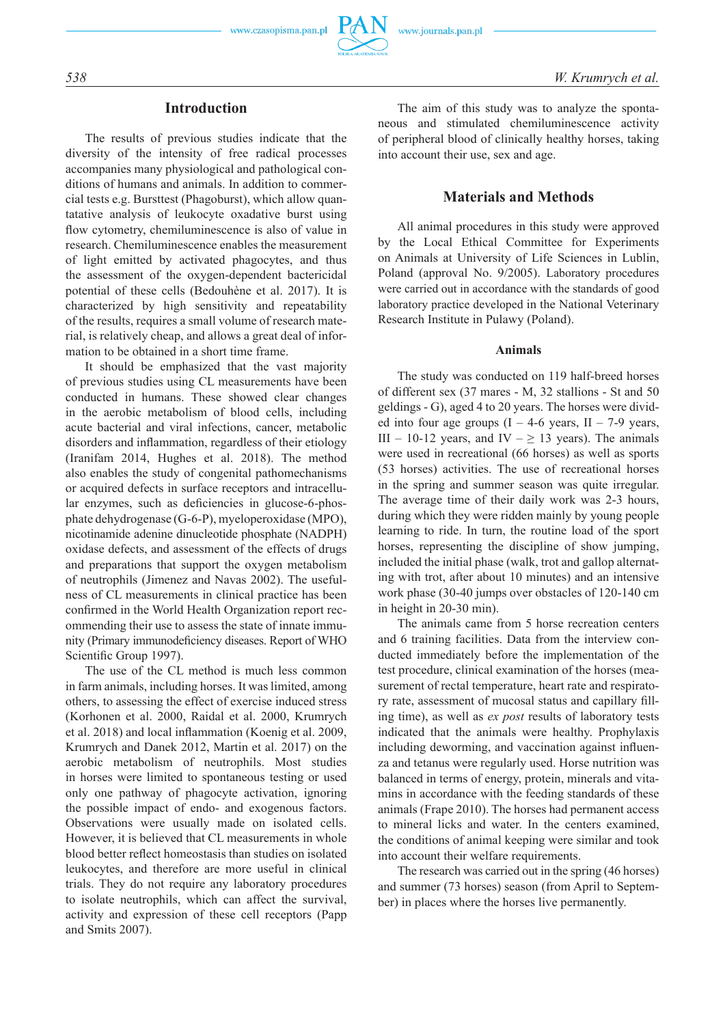### **Introduction**

The results of previous studies indicate that the diversity of the intensity of free radical processes accompanies many physiological and pathological conditions of humans and animals. In addition to commercial tests e.g. Bursttest (Phagoburst), which allow quantatative analysis of leukocyte oxadative burst using flow cytometry, chemiluminescence is also of value in research. Chemiluminescence enables the measurement of light emitted by activated phagocytes, and thus the assessment of the oxygen-dependent bactericidal potential of these cells (Bedouhène et al. 2017). It is characterized by high sensitivity and repeatability of the results, requires a small volume of research material, is relatively cheap, and allows a great deal of information to be obtained in a short time frame.

It should be emphasized that the vast majority of previous studies using CL measurements have been conducted in humans. These showed clear changes in the aerobic metabolism of blood cells, including acute bacterial and viral infections, cancer, metabolic disorders and inflammation, regardless of their etiology (Iranifam 2014, Hughes et al. 2018). The method also enables the study of congenital pathomechanisms or acquired defects in surface receptors and intracellular enzymes, such as deficiencies in glucose-6-phosphate dehydrogenase (G-6-P), myeloperoxidase (MPO), nicotinamide adenine dinucleotide phosphate (NADPH) oxidase defects, and assessment of the effects of drugs and preparations that support the oxygen metabolism of neutrophils (Jimenez and Navas 2002). The usefulness of CL measurements in clinical practice has been confirmed in the World Health Organization report recommending their use to assess the state of innate immunity (Primary immunodeficiency diseases. Report of WHO Scientific Group 1997).

The use of the CL method is much less common in farm animals, including horses. It was limited, among others, to assessing the effect of exercise induced stress (Korhonen et al. 2000, Raidal et al. 2000, Krumrych et al. 2018) and local inflammation (Koenig et al. 2009, Krumrych and Danek 2012, Martin et al. 2017) on the aerobic metabolism of neutrophils. Most studies in horses were limited to spontaneous testing or used only one pathway of phagocyte activation, ignoring the possible impact of endo- and exogenous factors. Observations were usually made on isolated cells. However, it is believed that CL measurements in whole blood better reflect homeostasis than studies on isolated leukocytes, and therefore are more useful in clinical trials. They do not require any laboratory procedures to isolate neutrophils, which can affect the survival, activity and expression of these cell receptors (Papp and Smits 2007).

The aim of this study was to analyze the spontaneous and stimulated chemiluminescence activity of peripheral blood of clinically healthy horses, taking into account their use, sex and age.

# **Materials and Methods**

All animal procedures in this study were approved by the Local Ethical Committee for Experiments on Animals at University of Life Sciences in Lublin, Poland (approval No. 9/2005). Laboratory procedures were carried out in accordance with the standards of good laboratory practice developed in the National Veterinary Research Institute in Pulawy (Poland).

#### **Animals**

The study was conducted on 119 half-breed horses of different sex (37 mares - M, 32 stallions - St and 50 geldings - G), aged 4 to 20 years. The horses were divided into four age groups  $(I - 4-6$  years,  $II - 7-9$  years, III – 10-12 years, and IV –  $\geq$  13 years). The animals were used in recreational (66 horses) as well as sports (53 horses) activities. The use of recreational horses in the spring and summer season was quite irregular. The average time of their daily work was 2-3 hours, during which they were ridden mainly by young people learning to ride. In turn, the routine load of the sport horses, representing the discipline of show jumping, included the initial phase (walk, trot and gallop alternating with trot, after about 10 minutes) and an intensive work phase (30-40 jumps over obstacles of 120-140 cm in height in 20-30 min).

The animals came from 5 horse recreation centers and 6 training facilities. Data from the interview conducted immediately before the implementation of the test procedure, clinical examination of the horses (measurement of rectal temperature, heart rate and respiratory rate, assessment of mucosal status and capillary filling time), as well as *ex post* results of laboratory tests indicated that the animals were healthy. Prophylaxis including deworming, and vaccination against influenza and tetanus were regularly used. Horse nutrition was balanced in terms of energy, protein, minerals and vitamins in accordance with the feeding standards of these animals (Frape 2010). The horses had permanent access to mineral licks and water. In the centers examined, the conditions of animal keeping were similar and took into account their welfare requirements.

The research was carried out in the spring (46 horses) and summer (73 horses) season (from April to September) in places where the horses live permanently.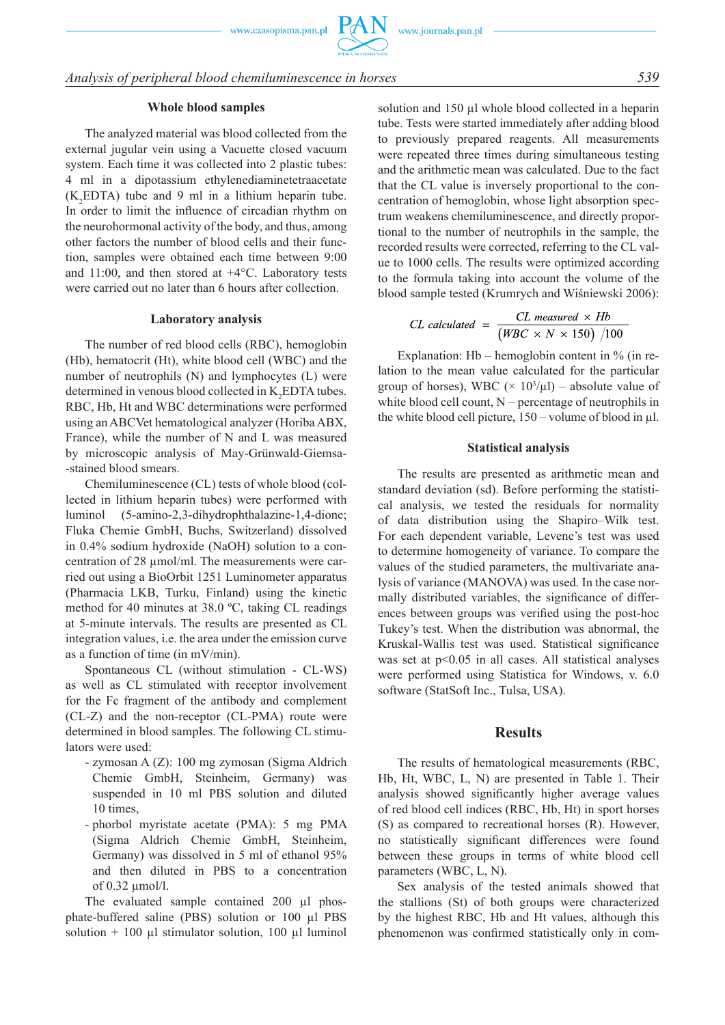# *Analysis of peripheral blood chemiluminescence in horses 539*

#### **Whole blood samples**

The analyzed material was blood collected from the external jugular vein using a Vacuette closed vacuum system. Each time it was collected into 2 plastic tubes: 4 ml in a dipotassium ethylenediaminetetraacetate  $(K_2EDTA)$  tube and 9 ml in a lithium heparin tube. In order to limit the influence of circadian rhythm on the neurohormonal activity of the body, and thus, among other factors the number of blood cells and their function, samples were obtained each time between 9:00 and 11:00, and then stored at +4°C. Laboratory tests were carried out no later than 6 hours after collection.

#### **Laboratory analysis**

The number of red blood cells (RBC), hemoglobin (Hb), hematocrit (Ht), white blood cell (WBC) and the number of neutrophils (N) and lymphocytes (L) were determined in venous blood collected in  $K_2$ EDTA tubes. RBC, Hb, Ht and WBC determinations were performed using an ABCVet hematological analyzer (Horiba ABX, France), while the number of N and L was measured by microscopic analysis of May-Grünwald-Giemsa- -stained blood smears.

Chemiluminescence (CL) tests of whole blood (collected in lithium heparin tubes) were performed with luminol (5-amino-2,3-dihydrophthalazine-1,4-dione; Fluka Chemie GmbH, Buchs, Switzerland) dissolved in 0.4% sodium hydroxide (NaOH) solution to a concentration of 28 µmol/ml. The measurements were carried out using a BioOrbit 1251 Luminometer apparatus (Pharmacia LKB, Turku, Finland) using the kinetic method for 40 minutes at 38.0 ºC, taking CL readings at 5-minute intervals. The results are presented as CL integration values, i.e. the area under the emission curve as a function of time (in mV/min).

Spontaneous CL (without stimulation - CL-WS) as well as CL stimulated with receptor involvement for the Fc fragment of the antibody and complement (CL-Z) and the non-receptor (CL-PMA) route were determined in blood samples. The following CL stimulators were used:

- -  zymosan A (Z): 100 mg zymosan (Sigma Aldrich Chemie GmbH, Steinheim, Germany) was suspended in 10 ml PBS solution and diluted 10 times,
- -  phorbol myristate acetate (PMA): 5 mg PMA (Sigma Aldrich Chemie GmbH, Steinheim, Germany) was dissolved in 5 ml of ethanol 95% and then diluted in PBS to a concentration of 0.32 µmol/l.

The evaluated sample contained 200 ul phosphate-buffered saline (PBS) solution or 100 µl PBS solution + 100  $\mu$ l stimulator solution, 100  $\mu$ l luminol solution and 150 µl whole blood collected in a heparin tube. Tests were started immediately after adding blood to previously prepared reagents. All measurements were repeated three times during simultaneous testing and the arithmetic mean was calculated. Due to the fact that the CL value is inversely proportional to the concentration of hemoglobin, whose light absorption spectrum weakens chemiluminescence, and directly proportional to the number of neutrophils in the sample, the recorded results were corrected, referring to the CL value to 1000 cells. The results were optimized according to the formula taking into account the volume of the blood sample tested (Krumrych and Wiśniewski 2006):

$$
CL calculated = \frac{CL \ measured \times Hb}{(WBC \times N \times 150) / 100}
$$

Explanation:  $Hb$  – hemoglobin content in  $\%$  (in relation to the mean value calculated for the particular group of horses), WBC  $(\times 10^3/\mu l)$  – absolute value of white blood cell count, N – percentage of neutrophils in the white blood cell picture,  $150 -$ volume of blood in  $\mu$ l.

#### **Statistical analysis**

The results are presented as arithmetic mean and standard deviation (sd). Before performing the statistical analysis, we tested the residuals for normality of data distribution using the Shapiro–Wilk test. For each dependent variable, Levene's test was used to determine homogeneity of variance. To compare the values of the studied parameters, the multivariate analysis of variance (MANOVA) was used. In the case normally distributed variables, the significance of differences between groups was verified using the post-hoc Tukey's test. When the distribution was abnormal, the Kruskal-Wallis test was used. Statistical significance was set at  $p<0.05$  in all cases. All statistical analyses were performed using Statistica for Windows, v. 6.0 software (StatSoft Inc., Tulsa, USA).

#### **Results**

The results of hematological measurements (RBC, Hb, Ht, WBC, L, N) are presented in Table 1. Their analysis showed significantly higher average values of red blood cell indices (RBC, Hb, Ht) in sport horses (S) as compared to recreational horses (R). However, no statistically significant differences were found between these groups in terms of white blood cell parameters (WBC, L, N).

Sex analysis of the tested animals showed that the stallions (St) of both groups were characterized by the highest RBC, Hb and Ht values, although this phenomenon was confirmed statistically only in com-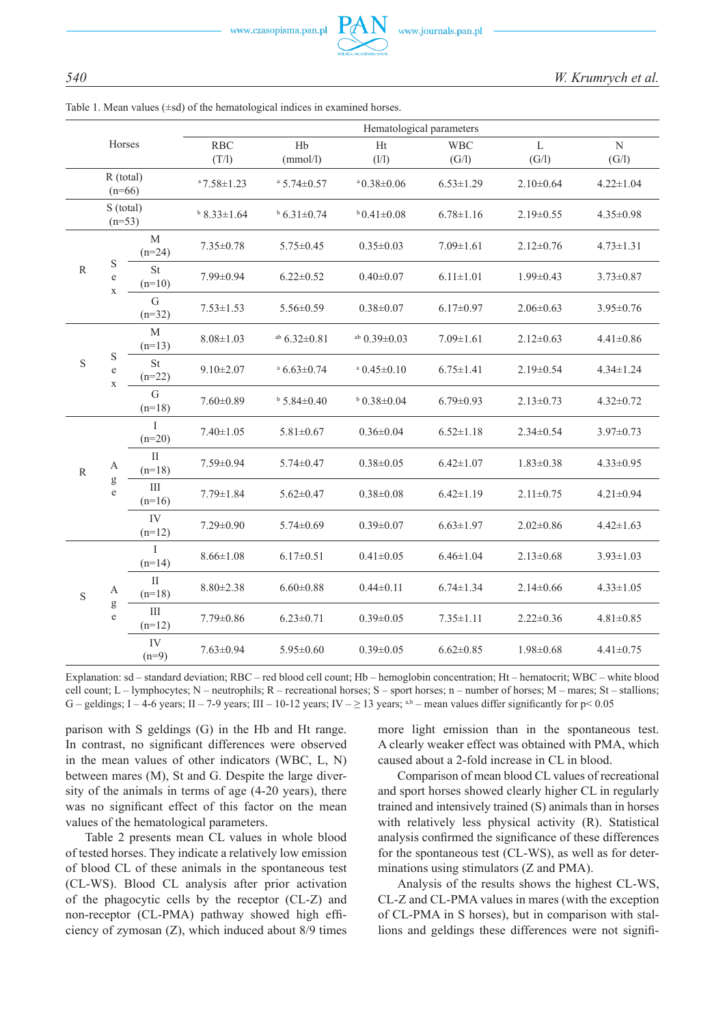|                         |                                 | Hematological parameters |                     |                            |                            |                     |                       |                      |
|-------------------------|---------------------------------|--------------------------|---------------------|----------------------------|----------------------------|---------------------|-----------------------|----------------------|
| Horses                  |                                 |                          | <b>RBC</b><br>(T/I) | H <sub>b</sub><br>(mmol/l) | Ht<br>(1/1)                | <b>WBC</b><br>(G/I) | $\mathbf{L}$<br>(G/I) | $\mathbf N$<br>(G/I) |
| $R$ (total)<br>$(n=66)$ |                                 |                          | $a$ 7.58 $\pm$ 1.23 | $^{\circ}$ 5.74 $\pm$ 0.57 | $^{\circ}$ 0.38 $\pm$ 0.06 | $6.53 \pm 1.29$     | $2.10\pm0.64$         | $4.22 \pm 1.04$      |
| S (total)<br>$(n=53)$   |                                 | $b$ 8.33 $\pm$ 1.64      | $b$ 6.31 $\pm$ 0.74 | $b$ 0.41 $\pm$ 0.08        | $6.78 \pm 1.16$            | $2.19 \pm 0.55$     | $4.35 \pm 0.98$       |                      |
| $\mathbb{R}$            |                                 | $\mathbf M$<br>$(n=24)$  | $7.35 \pm 0.78$     | $5.75 \pm 0.45$            | $0.35 \pm 0.03$            | $7.09 \pm 1.61$     | $2.12 \pm 0.76$       | $4.73 \pm 1.31$      |
|                         | $\mathbf S$<br>e<br>$\mathbf X$ | <b>St</b><br>$(n=10)$    | 7.99±0.94           | $6.22 \pm 0.52$            | $0.40 \pm 0.07$            | $6.11 \pm 1.01$     | $1.99 \pm 0.43$       | $3.73 \pm 0.87$      |
|                         |                                 | G<br>$(n=32)$            | $7.53 \pm 1.53$     | $5.56 \pm 0.59$            | $0.38 \pm 0.07$            | $6.17 \pm 0.97$     | $2.06 \pm 0.63$       | $3.95 \pm 0.76$      |
| $\mathbf S$             | S<br>$\rm e$<br>$\mathbf X$     | M<br>$(n=13)$            | $8.08 \pm 1.03$     | $^{ab}$ 6.32 $\pm$ 0.81    | ab $0.39 \pm 0.03$         | $7.09 \pm 1.61$     | $2.12 \pm 0.63$       | $4.41 \pm 0.86$      |
|                         |                                 | <b>St</b><br>$(n=22)$    | $9.10 \pm 2.07$     | $a$ 6.63±0.74              | $a$ 0.45 $\pm$ 0.10        | $6.75 \pm 1.41$     | $2.19 \pm 0.54$       | $4.34 \pm 1.24$      |
|                         |                                 | $\mathbf G$<br>$(n=18)$  | $7.60 \pm 0.89$     | $b$ 5.84 $\pm$ 0.40        | $b$ 0.38 $\pm$ 0.04        | $6.79 \pm 0.93$     | $2.13 \pm 0.73$       | $4.32 \pm 0.72$      |
| $\mathbb{R}$            |                                 | I<br>$(n=20)$            | $7.40 \pm 1.05$     | $5.81 \pm 0.67$            | $0.36 \pm 0.04$            | $6.52 \pm 1.18$     | $2.34 \pm 0.54$       | $3.97 \pm 0.73$      |
|                         | A                               | $\rm II$<br>$(n=18)$     | $7.59 \pm 0.94$     | $5.74 \pm 0.47$            | $0.38 \pm 0.05$            | $6.42 \pm 1.07$     | $1.83 \pm 0.38$       | $4.33 \pm 0.95$      |
|                         | g<br>$\mathbf e$                | Ш<br>$(n=16)$            | $7.79 \pm 1.84$     | $5.62 \pm 0.47$            | $0.38 \pm 0.08$            | $6.42 \pm 1.19$     | $2.11 \pm 0.75$       | $4.21 \pm 0.94$      |
|                         |                                 | IV<br>$(n=12)$           | $7.29 \pm 0.90$     | $5.74 \pm 0.69$            | $0.39 \pm 0.07$            | $6.63 \pm 1.97$     | $2.02 \pm 0.86$       | $4.42 \pm 1.63$      |
| $\mathbf S$             | A                               | I<br>$(n=14)$            | $8.66 \pm 1.08$     | $6.17 \pm 0.51$            | $0.41 \pm 0.05$            | $6.46 \pm 1.04$     | $2.13 \pm 0.68$       | $3.93 \pm 1.03$      |
|                         |                                 | $\mathbf{I}$<br>$(n=18)$ | $8.80 \pm 2.38$     | $6.60 \pm 0.88$            | $0.44 \pm 0.11$            | $6.74 \pm 1.34$     | $2.14 \pm 0.66$       | $4.33 \pm 1.05$      |
|                         | g<br>$\mathbf e$                | Ш<br>$(n=12)$            | $7.79 \pm 0.86$     | $6.23 \pm 0.71$            | $0.39 \pm 0.05$            | $7.35 \pm 1.11$     | $2.22 \pm 0.36$       | $4.81 \pm 0.85$      |
|                         |                                 | IV<br>$(n=9)$            | $7.63 \pm 0.94$     | $5.95 \pm 0.60$            | $0.39 \pm 0.05$            | $6.62 \pm 0.85$     | $1.98 \pm 0.68$       | $4.41 \pm 0.75$      |

Table 1. Mean values  $(\pm sd)$  of the hematological indices in examined horses.

Explanation: sd – standard deviation; RBC – red blood cell count; Hb – hemoglobin concentration; Ht – hematocrit; WBC – white blood cell count; L – lymphocytes; N – neutrophils; R – recreational horses; S – sport horses; n – number of horses; M – mares; St – stallions; G – geldings; I – 4-6 years; II – 7-9 years; III – 10-12 years; IV –  $\geq$  13 years; <sup>a,b</sup> – mean values differ significantly for p< 0.05

parison with S geldings (G) in the Hb and Ht range. In contrast, no significant differences were observed in the mean values of other indicators (WBC, L, N) between mares (M), St and G. Despite the large diversity of the animals in terms of age (4-20 years), there was no significant effect of this factor on the mean values of the hematological parameters.

Table 2 presents mean CL values in whole blood of tested horses. They indicate a relatively low emission of blood CL of these animals in the spontaneous test (CL-WS). Blood CL analysis after prior activation of the phagocytic cells by the receptor (CL-Z) and non-receptor (CL-PMA) pathway showed high efficiency of zymosan (Z), which induced about 8/9 times more light emission than in the spontaneous test. A clearly weaker effect was obtained with PMA, which caused about a 2-fold increase in CL in blood.

Comparison of mean blood CL values of recreational and sport horses showed clearly higher CL in regularly trained and intensively trained (S) animals than in horses with relatively less physical activity (R). Statistical analysis confirmed the significance of these differences for the spontaneous test (CL-WS), as well as for determinations using stimulators (Z and PMA).

Analysis of the results shows the highest CL-WS, CL-Z and CL-PMA values in mares (with the exception of CL-PMA in S horses), but in comparison with stallions and geldings these differences were not signifi-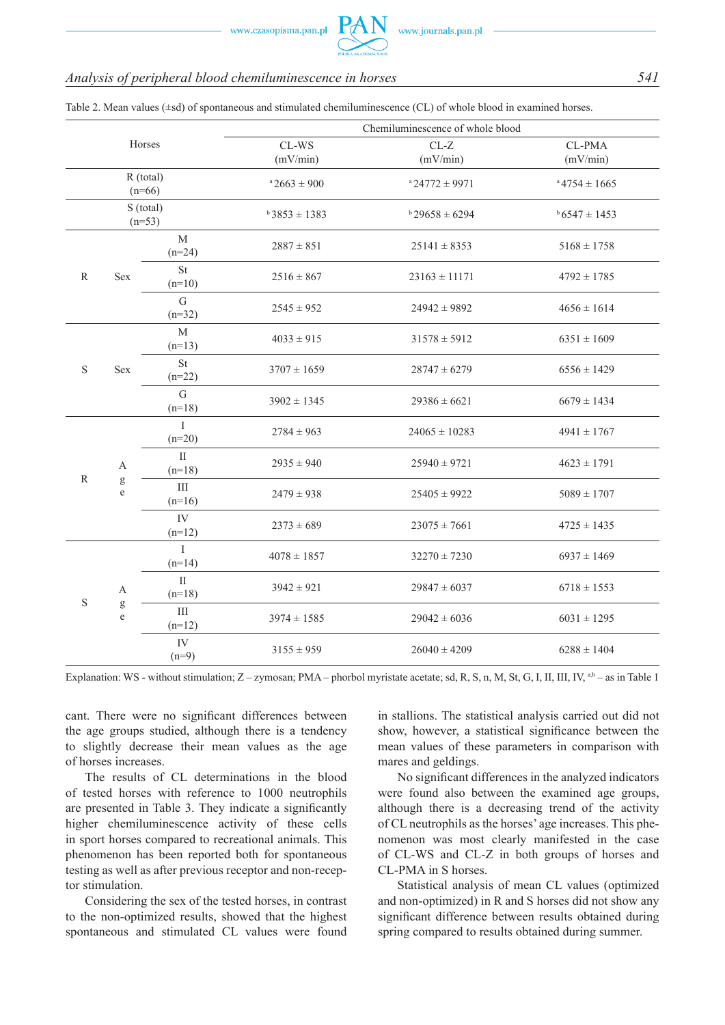## *Analysis of peripheral blood chemiluminescence in horses 541*

|                         |                                               |                            | Chemiluminescence of whole blood        |                      |                    |  |  |
|-------------------------|-----------------------------------------------|----------------------------|-----------------------------------------|----------------------|--------------------|--|--|
|                         |                                               | Horses                     | CL-WS<br>$CL-Z$<br>(mV/min)<br>(mV/min) |                      | CL-PMA<br>(mV/min) |  |  |
| $R$ (total)<br>$(n=66)$ |                                               |                            | $a\,2663 \pm 900$                       | $a$ 24772 $\pm$ 9971 | $a\,4754 \pm 1665$ |  |  |
| S (total)<br>$(n=53)$   |                                               |                            | $b3853 \pm 1383$                        | $b$ 29658 ± 6294     | $6547 \pm 1453$    |  |  |
| $\mathbb{R}$            | Sex                                           | $\mathbf M$<br>$(n=24)$    | $2887 \pm 851$                          | $25141 \pm 8353$     | $5168 \pm 1758$    |  |  |
|                         |                                               | <b>St</b><br>$(n=10)$      | $2516 \pm 867$                          | $23163 \pm 11171$    | $4792 \pm 1785$    |  |  |
|                         |                                               | $\overline{G}$<br>$(n=32)$ | $2545 \pm 952$                          | $24942 \pm 9892$     | $4656 \pm 1614$    |  |  |
| S                       | Sex                                           | M<br>$(n=13)$              | $4033 \pm 915$                          | $31578 \pm 5912$     | $6351 \pm 1609$    |  |  |
|                         |                                               | <b>St</b><br>$(n=22)$      | $3707 \pm 1659$                         | $28747 \pm 6279$     | $6556 \pm 1429$    |  |  |
|                         |                                               | $\mathbf G$<br>$(n=18)$    | $3902 \pm 1345$                         | $29386 \pm 6621$     | $6679 \pm 1434$    |  |  |
| R                       |                                               | $\mathbf{I}$<br>$(n=20)$   | $2784 \pm 963$                          | $24065 \pm 10283$    | $4941 \pm 1767$    |  |  |
|                         | $\boldsymbol{A}$<br>g<br>$\mathbf e$          | $\rm II$<br>$(n=18)$       | $2935 \pm 940$                          | $25940 \pm 9721$     | $4623 \pm 1791$    |  |  |
|                         |                                               | III<br>$(n=16)$            | $2479 \pm 938$                          | $25405 \pm 9922$     | $5089 \pm 1707$    |  |  |
|                         |                                               | IV<br>$(n=12)$             | $2373 \pm 689$                          | $23075 \pm 7661$     | $4725 \pm 1435$    |  |  |
| $\mathbf S$             | $\boldsymbol{\mathsf{A}}$<br>g<br>$\mathbf e$ | $\rm I$<br>$(n=14)$        | $4078 \pm 1857$                         | $32270 \pm 7230$     | $6937 \pm 1469$    |  |  |
|                         |                                               | $\mathbf{I}$<br>$(n=18)$   | $3942 \pm 921$                          | $29847 \pm 6037$     | $6718 \pm 1553$    |  |  |
|                         |                                               | $\rm III$<br>$(n=12)$      | $3974 \pm 1585$                         | $29042 \pm 6036$     | $6031 \pm 1295$    |  |  |
|                         |                                               | IV<br>$(n=9)$              | $3155 \pm 959$                          | $26040 \pm 4209$     | $6288 \pm 1404$    |  |  |

Table 2. Mean values (±sd) of spontaneous and stimulated chemiluminescence (CL) of whole blood in examined horses.

Explanation: WS - without stimulation;  $Z - zymosan$ ; PMA – phorbol myristate acetate; sd, R, S, n, M, St, G, I, II, III, IV, a,b – as in Table 1

cant. There were no significant differences between the age groups studied, although there is a tendency to slightly decrease their mean values as the age of horses increases.

The results of CL determinations in the blood of tested horses with reference to 1000 neutrophils are presented in Table 3. They indicate a significantly higher chemiluminescence activity of these cells in sport horses compared to recreational animals. This phenomenon has been reported both for spontaneous testing as well as after previous receptor and non-receptor stimulation.

Considering the sex of the tested horses, in contrast to the non-optimized results, showed that the highest spontaneous and stimulated CL values were found in stallions. The statistical analysis carried out did not show, however, a statistical significance between the mean values of these parameters in comparison with mares and geldings.

No significant differences in the analyzed indicators were found also between the examined age groups, although there is a decreasing trend of the activity of CL neutrophils as the horses' age increases. This phenomenon was most clearly manifested in the case of CL-WS and CL-Z in both groups of horses and CL-PMA in S horses.

Statistical analysis of mean CL values (optimized and non-optimized) in R and S horses did not show any significant difference between results obtained during spring compared to results obtained during summer.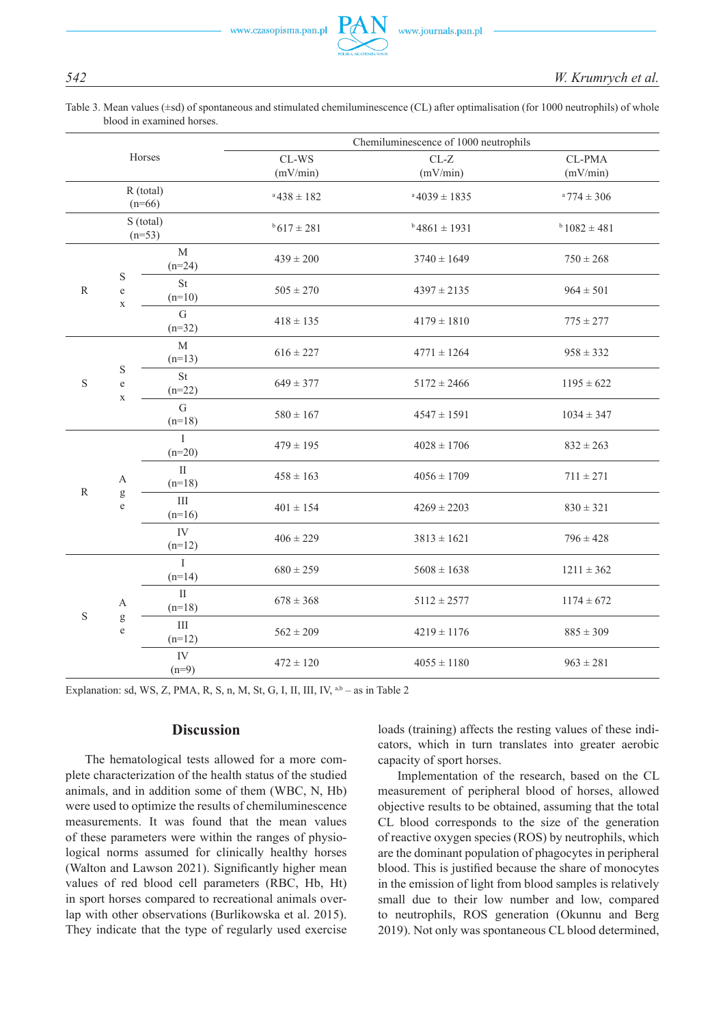Table 3. Mean values ( $\pm$ sd) of spontaneous and stimulated chemiluminescence (CL) after optimalisation (for 1000 neutrophils) of whole blood in examined horses.

| Horses                |                                        |                          | Chemiluminescence of 1000 neutrophils |                                                 |                    |  |  |
|-----------------------|----------------------------------------|--------------------------|---------------------------------------|-------------------------------------------------|--------------------|--|--|
|                       |                                        |                          | CL-WS<br>(mV/min)                     | $\ensuremath{\text{CL-}\mathbf{Z}}$<br>(mV/min) | CL-PMA<br>(mV/min) |  |  |
| R (total)<br>$(n=66)$ |                                        |                          | $a\,438 \pm 182$                      | $a\,4039 \pm 1835$                              | $a$ 774 $\pm$ 306  |  |  |
| S (total)<br>$(n=53)$ |                                        |                          | $b$ 617 ± 281                         | $b$ 4861 ± 1931                                 | $b$ 1082 $\pm$ 481 |  |  |
| ${\bf R}$             |                                        | $\mathbf M$<br>$(n=24)$  | $439 \pm 200$                         | $3740 \pm 1649$                                 | $750 \pm 268$      |  |  |
|                       | $\mathbf S$<br>$\rm e$<br>$\mathbf X$  | <b>St</b><br>$(n=10)$    | $505 \pm 270$                         | $4397 \pm 2135$                                 | $964 \pm 501$      |  |  |
|                       |                                        | $\mathbf G$<br>$(n=32)$  | $418 \pm 135$                         | $4179 \pm 1810$                                 | $775 \pm 277$      |  |  |
|                       | ${\bf S}$<br>$\rm e$<br>$\mathbf X$    | M<br>$(n=13)$            | $616 \pm 227$                         | $4771 \pm 1264$                                 | $958 \pm 332$      |  |  |
| $\mathbf S$           |                                        | <b>St</b><br>$(n=22)$    | $649 \pm 377$                         | $5172 \pm 2466$                                 | $1195 \pm 622$     |  |  |
|                       |                                        | $\mathbf G$<br>$(n=18)$  | $580 \pm 167$                         | $4547 \pm 1591$                                 | $1034 \pm 347$     |  |  |
|                       |                                        | $\mathbf{I}$<br>$(n=20)$ | $479 \pm 195$                         | $4028 \pm 1706$                                 | $832 \pm 263$      |  |  |
| ${\bf R}$             | $\boldsymbol{\mathsf{A}}$              | $\rm II$<br>$(n=18)$     | $458 \pm 163$                         | $4056 \pm 1709$                                 | $711 \pm 271$      |  |  |
|                       | $\mathbf g$<br>$\rm e$                 | III<br>$(n=16)$          | $401 \pm 154$                         | $4269 \pm 2203$                                 | $830 \pm 321$      |  |  |
|                       |                                        | ${\rm IV}$<br>$(n=12)$   | $406 \pm 229$                         | $3813 \pm 1621$                                 | $796 \pm 428$      |  |  |
| ${\bf S}$             | A<br>$\mathbf{g}% _{0}$<br>$\mathbf e$ | $\mathbf I$<br>$(n=14)$  | $680 \pm 259$                         | $5608 \pm 1638$                                 | $1211 \pm 362$     |  |  |
|                       |                                        | $\rm II$<br>$(n=18)$     | $678 \pm 368$                         | $5112 \pm 2577$                                 | $1174 \pm 672$     |  |  |
|                       |                                        | Ш<br>$(n=12)$            | $562 \pm 209$                         | $4219 \pm 1176$                                 | $885 \pm 309$      |  |  |
|                       |                                        | IV<br>$(n=9)$            | $472 \pm 120$                         | $4055 \pm 1180$                                 | $963 \pm 281$      |  |  |

Explanation: sd, WS, Z, PMA, R, S, n, M, St, G, I, II, III, IV,  $a,b$  – as in Table 2

### **Discussion**

The hematological tests allowed for a more complete characterization of the health status of the studied animals, and in addition some of them (WBC, N, Hb) were used to optimize the results of chemiluminescence measurements. It was found that the mean values of these parameters were within the ranges of physiological norms assumed for clinically healthy horses (Walton and Lawson 2021). Significantly higher mean values of red blood cell parameters (RBC, Hb, Ht) in sport horses compared to recreational animals overlap with other observations (Burlikowska et al. 2015). They indicate that the type of regularly used exercise loads (training) affects the resting values of these indicators, which in turn translates into greater aerobic capacity of sport horses.

Implementation of the research, based on the CL measurement of peripheral blood of horses, allowed objective results to be obtained, assuming that the total CL blood corresponds to the size of the generation of reactive oxygen species (ROS) by neutrophils, which are the dominant population of phagocytes in peripheral blood. This is justified because the share of monocytes in the emission of light from blood samples is relatively small due to their low number and low, compared to neutrophils, ROS generation (Okunnu and Berg 2019). Not only was spontaneous CL blood determined,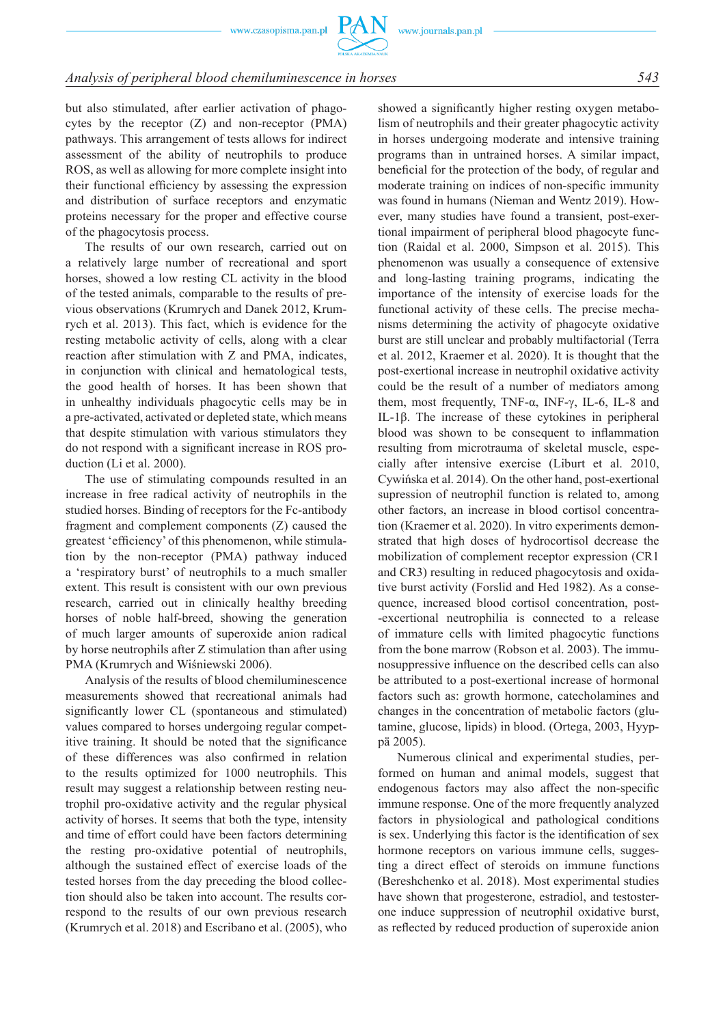# *Analysis of peripheral blood chemiluminescence in horses 543*

but also stimulated, after earlier activation of phagocytes by the receptor (Z) and non-receptor (PMA) pathways. This arrangement of tests allows for indirect assessment of the ability of neutrophils to produce ROS, as well as allowing for more complete insight into their functional efficiency by assessing the expression and distribution of surface receptors and enzymatic proteins necessary for the proper and effective course of the phagocytosis process.

The results of our own research, carried out on a relatively large number of recreational and sport horses, showed a low resting CL activity in the blood of the tested animals, comparable to the results of previous observations (Krumrych and Danek 2012, Krumrych et al. 2013). This fact, which is evidence for the resting metabolic activity of cells, along with a clear reaction after stimulation with Z and PMA, indicates, in conjunction with clinical and hematological tests, the good health of horses. It has been shown that in unhealthy individuals phagocytic cells may be in a pre-activated, activated or depleted state, which means that despite stimulation with various stimulators they do not respond with a significant increase in ROS production (Li et al. 2000).

The use of stimulating compounds resulted in an increase in free radical activity of neutrophils in the studied horses. Binding of receptors for the Fc-antibody fragment and complement components (Z) caused the greatest 'efficiency' of this phenomenon, while stimulation by the non-receptor (PMA) pathway induced a 'respiratory burst' of neutrophils to a much smaller extent. This result is consistent with our own previous research, carried out in clinically healthy breeding horses of noble half-breed, showing the generation of much larger amounts of superoxide anion radical by horse neutrophils after Z stimulation than after using PMA (Krumrych and Wiśniewski 2006).

Analysis of the results of blood chemiluminescence measurements showed that recreational animals had significantly lower CL (spontaneous and stimulated) values compared to horses undergoing regular competitive training. It should be noted that the significance of these differences was also confirmed in relation to the results optimized for 1000 neutrophils. This result may suggest a relationship between resting neutrophil pro-oxidative activity and the regular physical activity of horses. It seems that both the type, intensity and time of effort could have been factors determining the resting pro-oxidative potential of neutrophils, although the sustained effect of exercise loads of the tested horses from the day preceding the blood collection should also be taken into account. The results correspond to the results of our own previous research (Krumrych et al. 2018) and Escribano et al. (2005), who showed a significantly higher resting oxygen metabolism of neutrophils and their greater phagocytic activity in horses undergoing moderate and intensive training programs than in untrained horses. A similar impact, beneficial for the protection of the body, of regular and moderate training on indices of non-specific immunity was found in humans (Nieman and Wentz 2019). However, many studies have found a transient, post-exertional impairment of peripheral blood phagocyte function (Raidal et al. 2000, Simpson et al. 2015). This phenomenon was usually a consequence of extensive and long-lasting training programs, indicating the importance of the intensity of exercise loads for the functional activity of these cells. The precise mechanisms determining the activity of phagocyte oxidative burst are still unclear and probably multifactorial (Terra et al. 2012, Kraemer et al. 2020). It is thought that the post-exertional increase in neutrophil oxidative activity could be the result of a number of mediators among them, most frequently, TNF- $\alpha$ , INF- $\gamma$ , IL-6, IL-8 and IL-1β. The increase of these cytokines in peripheral blood was shown to be consequent to inflammation resulting from microtrauma of skeletal muscle, especially after intensive exercise (Liburt et al. 2010, Cywińska et al. 2014). On the other hand, post-exertional supression of neutrophil function is related to, among other factors, an increase in blood cortisol concentration (Kraemer et al. 2020). In vitro experiments demonstrated that high doses of hydrocortisol decrease the mobilization of complement receptor expression (CR1 and CR3) resulting in reduced phagocytosis and oxidative burst activity (Forslid and Hed 1982). As a consequence, increased blood cortisol concentration, post- -excertional neutrophilia is connected to a release of immature cells with limited phagocytic functions from the bone marrow (Robson et al. 2003). The immunosuppressive influence on the described cells can also be attributed to a post-exertional increase of hormonal factors such as: growth hormone, catecholamines and changes in the concentration of metabolic factors (glutamine, glucose, lipids) in blood. (Ortega, 2003, Hyyppä 2005).

Numerous clinical and experimental studies, performed on human and animal models, suggest that endogenous factors may also affect the non-specific immune response. One of the more frequently analyzed factors in physiological and pathological conditions is sex. Underlying this factor is the identification of sex hormone receptors on various immune cells, suggesting a direct effect of steroids on immune functions (Bereshchenko et al. 2018). Most experimental studies have shown that progesterone, estradiol, and testosterone induce suppression of neutrophil oxidative burst, as reflected by reduced production of superoxide anion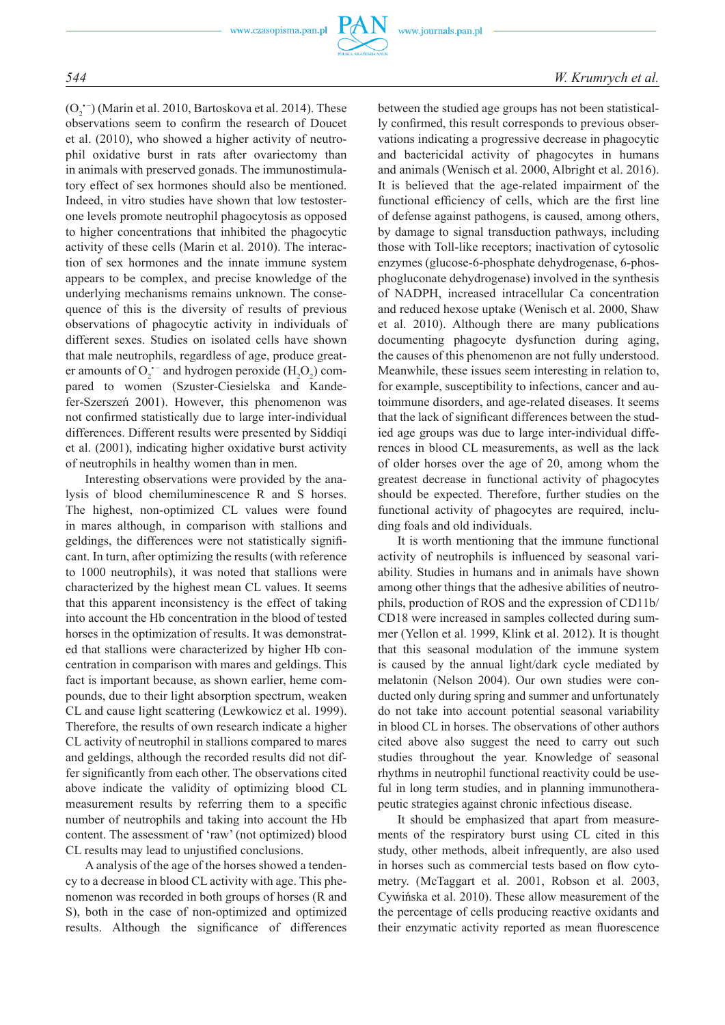

 $(O_2^{\bullet -})$  (Marin et al. 2010, Bartoskova et al. 2014). These observations seem to confirm the research of Doucet et al. (2010), who showed a higher activity of neutrophil oxidative burst in rats after ovariectomy than in animals with preserved gonads. The immunostimulatory effect of sex hormones should also be mentioned. Indeed, in vitro studies have shown that low testosterone levels promote neutrophil phagocytosis as opposed to higher concentrations that inhibited the phagocytic activity of these cells (Marin et al. 2010). The interaction of sex hormones and the innate immune system appears to be complex, and precise knowledge of the underlying mechanisms remains unknown. The consequence of this is the diversity of results of previous observations of phagocytic activity in individuals of different sexes. Studies on isolated cells have shown that male neutrophils, regardless of age, produce greater amounts of  $O_2$ <sup>+-</sup> and hydrogen peroxide ( $H_2O_2$ ) compared to women (Szuster-Ciesielska and Kandefer-Szerszeń 2001). However, this phenomenon was not confirmed statistically due to large inter-individual differences. Different results were presented by Siddiqi et al. (2001), indicating higher oxidative burst activity of neutrophils in healthy women than in men.

Interesting observations were provided by the analysis of blood chemiluminescence R and S horses. The highest, non-optimized CL values were found in mares although, in comparison with stallions and geldings, the differences were not statistically significant. In turn, after optimizing the results (with reference to 1000 neutrophils), it was noted that stallions were characterized by the highest mean CL values. It seems that this apparent inconsistency is the effect of taking into account the Hb concentration in the blood of tested horses in the optimization of results. It was demonstrated that stallions were characterized by higher Hb concentration in comparison with mares and geldings. This fact is important because, as shown earlier, heme compounds, due to their light absorption spectrum, weaken CL and cause light scattering (Lewkowicz et al. 1999). Therefore, the results of own research indicate a higher CL activity of neutrophil in stallions compared to mares and geldings, although the recorded results did not differ significantly from each other. The observations cited above indicate the validity of optimizing blood CL measurement results by referring them to a specific number of neutrophils and taking into account the Hb content. The assessment of 'raw' (not optimized) blood CL results may lead to unjustified conclusions.

A analysis of the age of the horses showed a tendency to a decrease in blood CL activity with age. This phenomenon was recorded in both groups of horses (R and S), both in the case of non-optimized and optimized results. Although the significance of differences between the studied age groups has not been statistically confirmed, this result corresponds to previous observations indicating a progressive decrease in phagocytic and bactericidal activity of phagocytes in humans and animals (Wenisch et al. 2000, Albright et al. 2016). It is believed that the age-related impairment of the functional efficiency of cells, which are the first line of defense against pathogens, is caused, among others, by damage to signal transduction pathways, including those with Toll-like receptors; inactivation of cytosolic enzymes (glucose-6-phosphate dehydrogenase, 6-phosphogluconate dehydrogenase) involved in the synthesis of NADPH, increased intracellular Ca concentration and reduced hexose uptake (Wenisch et al. 2000, Shaw et al. 2010). Although there are many publications documenting phagocyte dysfunction during aging, the causes of this phenomenon are not fully understood. Meanwhile, these issues seem interesting in relation to, for example, susceptibility to infections, cancer and autoimmune disorders, and age-related diseases. It seems that the lack of significant differences between the studied age groups was due to large inter-individual differences in blood CL measurements, as well as the lack of older horses over the age of 20, among whom the greatest decrease in functional activity of phagocytes should be expected. Therefore, further studies on the functional activity of phagocytes are required, including foals and old individuals.

It is worth mentioning that the immune functional activity of neutrophils is influenced by seasonal variability. Studies in humans and in animals have shown among other things that the adhesive abilities of neutrophils, production of ROS and the expression of CD11b/ CD18 were increased in samples collected during summer (Yellon et al. 1999, Klink et al. 2012). It is thought that this seasonal modulation of the immune system is caused by the annual light/dark cycle mediated by melatonin (Nelson 2004). Our own studies were conducted only during spring and summer and unfortunately do not take into account potential seasonal variability in blood CL in horses. The observations of other authors cited above also suggest the need to carry out such studies throughout the year. Knowledge of seasonal rhythms in neutrophil functional reactivity could be useful in long term studies, and in planning immunotherapeutic strategies against chronic infectious disease.

It should be emphasized that apart from measurements of the respiratory burst using CL cited in this study, other methods, albeit infrequently, are also used in horses such as commercial tests based on flow cytometry. (McTaggart et al. 2001, Robson et al. 2003, Cywińska et al. 2010). These allow measurement of the the percentage of cells producing reactive oxidants and their enzymatic activity reported as mean fluorescence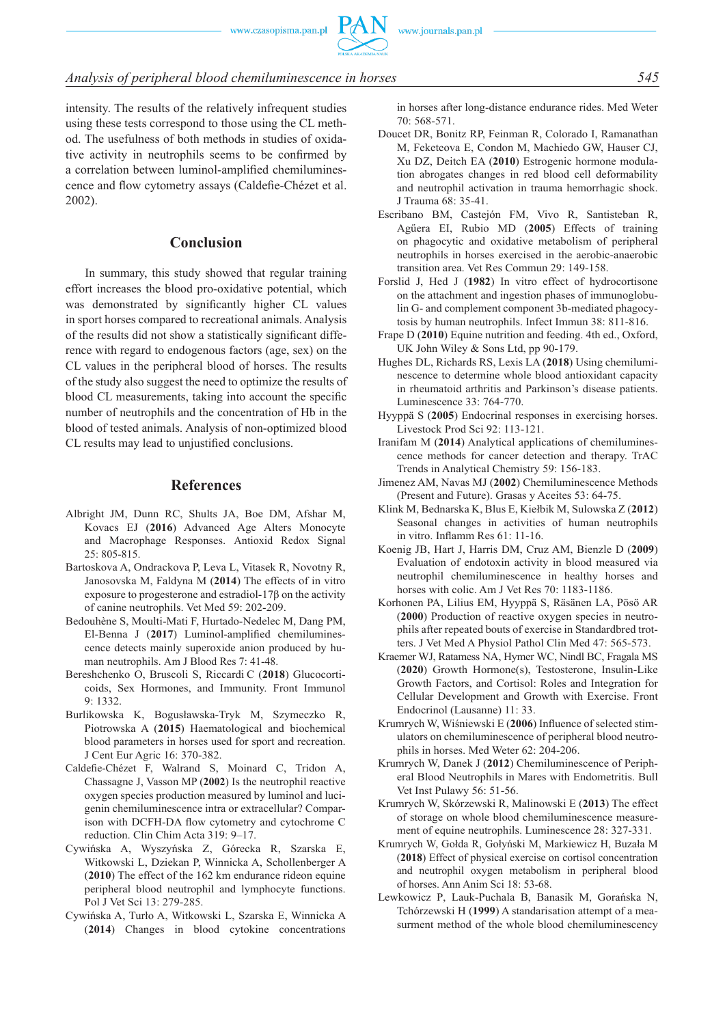# *Analysis of peripheral blood chemiluminescence in horses 545*

intensity. The results of the relatively infrequent studies using these tests correspond to those using the CL method. The usefulness of both methods in studies of oxidative activity in neutrophils seems to be confirmed by a correlation between luminol-amplified chemiluminescence and flow cytometry assays (Caldefie-Chézet et al. 2002).

# **Conclusion**

In summary, this study showed that regular training effort increases the blood pro-oxidative potential, which was demonstrated by significantly higher CL values in sport horses compared to recreational animals. Analysis of the results did not show a statistically significant difference with regard to endogenous factors (age, sex) on the CL values in the peripheral blood of horses. The results of the study also suggest the need to optimize the results of blood CL measurements, taking into account the specific number of neutrophils and the concentration of Hb in the blood of tested animals. Analysis of non-optimized blood CL results may lead to unjustified conclusions.

# **References**

- Albright JM, Dunn RC, Shults JA, Boe DM, Afshar M, Kovacs EJ (**2016**) Advanced Age Alters Monocyte and Macrophage Responses. Antioxid Redox Signal 25: 805-815.
- Bartoskova A, Ondrackova P, Leva L, Vitasek R, Novotny R, Janosovska M, Faldyna M (**2014**) The effects of in vitro exposure to progesterone and estradiol-17β on the activity of canine neutrophils. Vet Med 59: 202-209.
- Bedouhène S, Moulti-Mati F, Hurtado-Nedelec M, Dang PM, El-Benna J (**2017**) Luminol-amplified chemiluminescence detects mainly superoxide anion produced by human neutrophils. Am J Blood Res 7: 41-48.
- Bereshchenko O, Bruscoli S, Riccardi C (**2018**) Glucocorticoids, Sex Hormones, and Immunity. Front Immunol 9: 1332.
- Burlikowska K, Bogusławska-Tryk M, Szymeczko R, Piotrowska A (**2015**) Haematological and biochemical blood parameters in horses used for sport and recreation. J Cent Eur Agric 16: 370-382.
- Caldefie-Chézet F, Walrand S, Moinard C, Tridon A, Chassagne J, Vasson MP (**2002**) Is the neutrophil reactive oxygen species production measured by luminol and lucigenin chemiluminescence intra or extracellular? Comparison with DCFH-DA flow cytometry and cytochrome C reduction. Clin Chim Acta 319: 9–17.
- Cywińska A, Wyszyńska Z, Górecka R, Szarska E, Witkowski L, Dziekan P, Winnicka A, Schollenberger A (**2010**) The effect of the 162 km endurance rideon equine peripheral blood neutrophil and lymphocyte functions. Pol J Vet Sci 13: 279-285.
- Cywińska A, Turło A, Witkowski L, Szarska E, Winnicka A (**2014**) Changes in blood cytokine concentrations

in horses after long-distance endurance rides. Med Weter 70: 568-571.

- Doucet DR, Bonitz RP, Feinman R, Colorado I, Ramanathan M, Feketeova E, Condon M, Machiedo GW, Hauser CJ, Xu DZ, Deitch EA (**2010**) Estrogenic hormone modulation abrogates changes in red blood cell deformability and neutrophil activation in trauma hemorrhagic shock. J Trauma 68: 35-41.
- Escribano BM, Castejón FM, Vivo R, Santisteban R, Agűera EI, Rubio MD (**2005**) Effects of training on phagocytic and oxidative metabolism of peripheral neutrophils in horses exercised in the aerobic-anaerobic transition area. Vet Res Commun 29: 149-158.
- Forslid J, Hed J (**1982**) In vitro effect of hydrocortisone on the attachment and ingestion phases of immunoglobulin G- and complement component 3b-mediated phagocytosis by human neutrophils. Infect Immun 38: 811-816.
- Frape D (**2010**) Equine nutrition and feeding. 4th ed., Oxford, UK John Wiley & Sons Ltd, pp 90-179.
- Hughes DL, Richards RS, Lexis LA (**2018**) Using chemiluminescence to determine whole blood antioxidant capacity in rheumatoid arthritis and Parkinson's disease patients. Luminescence 33: 764-770.
- Hyyppä S (**2005**) Endocrinal responses in exercising horses. Livestock Prod Sci 92: 113-121.
- Iranifam M (**2014**) Analytical applications of chemiluminescence methods for cancer detection and therapy. TrAC Trends in Analytical Chemistry 59: 156-183.
- Jimenez AM, Navas MJ (**2002**) Chemiluminescence Methods (Present and Future). Grasas y Aceites 53: 64-75.
- Klink M, Bednarska K, Blus E, Kiełbik M, Sulowska Z (**2012**) Seasonal changes in activities of human neutrophils in vitro. Inflamm Res 61: 11-16.
- Koenig JB, Hart J, Harris DM, Cruz AM, Bienzle D (**2009**) Evaluation of endotoxin activity in blood measured via neutrophil chemiluminescence in healthy horses and horses with colic. Am J Vet Res 70: 1183-1186.
- Korhonen PA, Lilius EM, Hyyppä S, Räsänen LA, Pösö AR (**2000**) Production of reactive oxygen species in neutrophils after repeated bouts of exercise in Standardbred trotters. J Vet Med A Physiol Pathol Clin Med 47: 565-573.
- Kraemer WJ, Ratamess NA, Hymer WC, Nindl BC, Fragala MS (**2020**) Growth Hormone(s), Testosterone, Insulin-Like Growth Factors, and Cortisol: Roles and Integration for Cellular Development and Growth with Exercise. Front Endocrinol (Lausanne) 11: 33.
- Krumrych W, Wiśniewski E (**2006**) Influence of selected stimulators on chemiluminescence of peripheral blood neutrophils in horses. Med Weter 62: 204-206.
- Krumrych W, Danek J (**2012**) Chemiluminescence of Peripheral Blood Neutrophils in Mares with Endometritis. Bull Vet Inst Pulawy 56: 51-56.
- Krumrych W, Skórzewski R, Malinowski E (**2013**) The effect of storage on whole blood chemiluminescence measurement of equine neutrophils. Luminescence 28: 327-331.
- Krumrych W, Gołda R, Gołyński M, Markiewicz H, Buzała M (**2018**) Effect of physical exercise on cortisol concentration and neutrophil oxygen metabolism in peripheral blood of horses. Ann Anim Sci 18: 53-68.
- Lewkowicz P, Lauk-Puchala B, Banasik M, Gorańska N, Tchórzewski H (**1999**) A standarisation attempt of a measurment method of the whole blood chemiluminescency